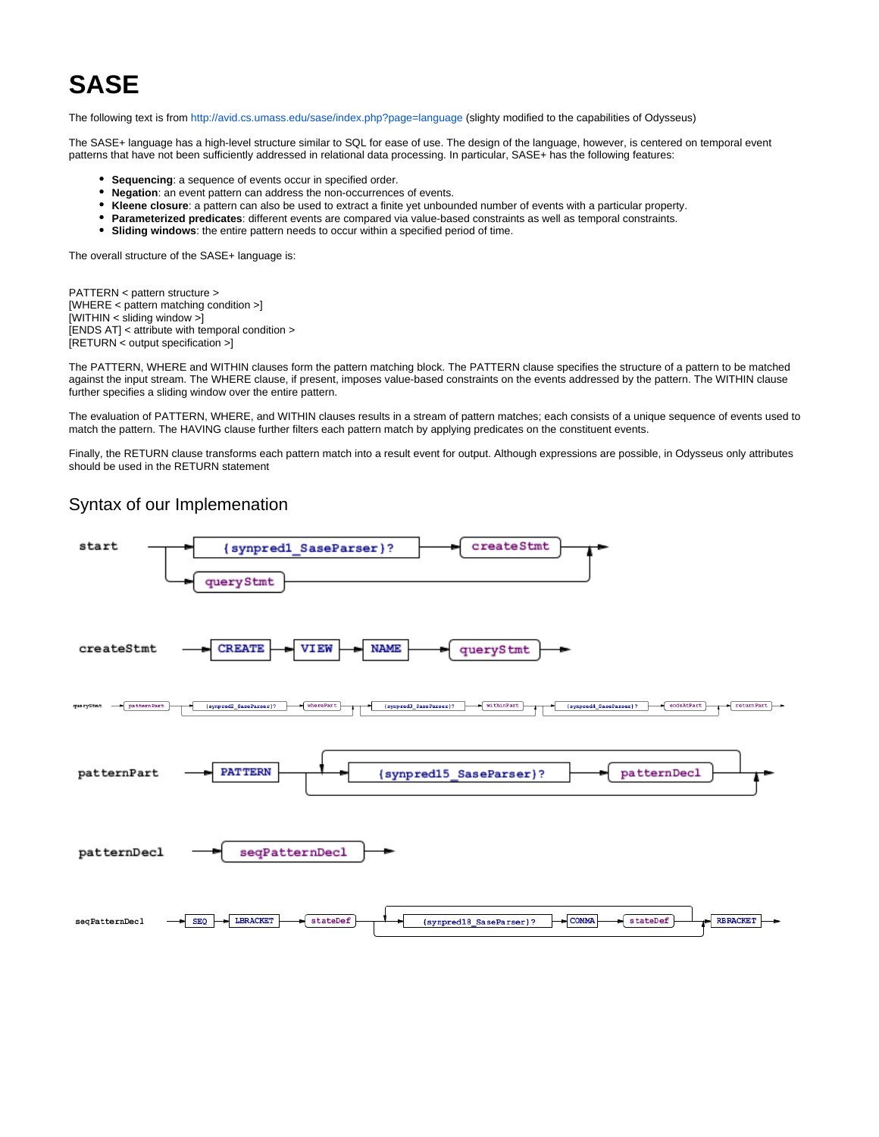## **SASE**

The following text is from<http://avid.cs.umass.edu/sase/index.php?page=language>(slighty modified to the capabilities of Odysseus)

The SASE+ language has a high-level structure similar to SQL for ease of use. The design of the language, however, is centered on temporal event patterns that have not been sufficiently addressed in relational data processing. In particular, SASE+ has the following features:

- **Sequencing**: a sequence of events occur in specified order.
- **Negation**: an event pattern can address the non-occurrences of events.
- **Kleene closure**: a pattern can also be used to extract a finite yet unbounded number of events with a particular property.
- **Parameterized predicates**: different events are compared via value-based constraints as well as temporal constraints.
- **Sliding windows**: the entire pattern needs to occur within a specified period of time.

The overall structure of the SASE+ language is:

PATTERN < pattern structure > [WHERE < pattern matching condition >] [WITHIN < sliding window >] [ENDS AT] < attribute with temporal condition > [RETURN < output specification >]

The PATTERN, WHERE and WITHIN clauses form the pattern matching block. The PATTERN clause specifies the structure of a pattern to be matched against the input stream. The WHERE clause, if present, imposes value-based constraints on the events addressed by the pattern. The WITHIN clause further specifies a sliding window over the entire pattern.

The evaluation of PATTERN, WHERE, and WITHIN clauses results in a stream of pattern matches; each consists of a unique sequence of events used to match the pattern. The HAVING clause further filters each pattern match by applying predicates on the constituent events.

Finally, the RETURN clause transforms each pattern match into a result event for output. Although expressions are possible, in Odysseus only attributes should be used in the RETURN statement

## Syntax of our Implemenation

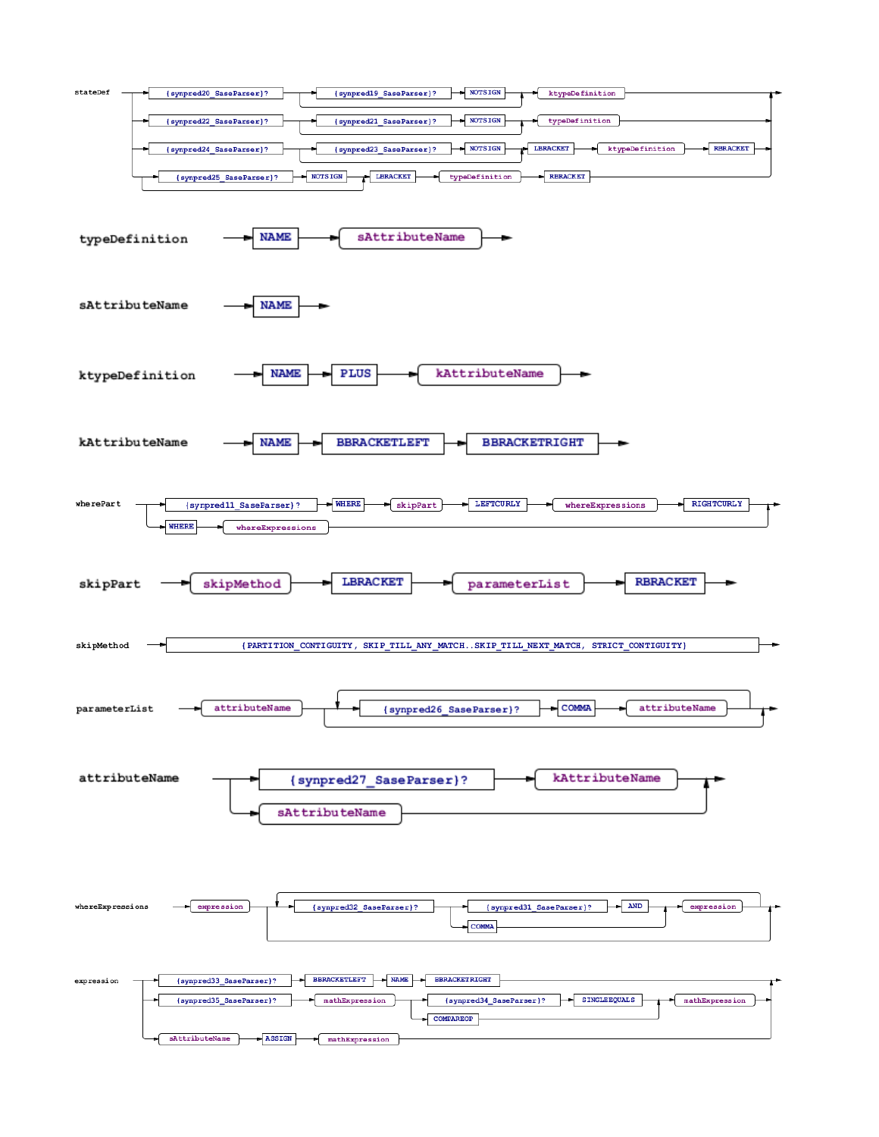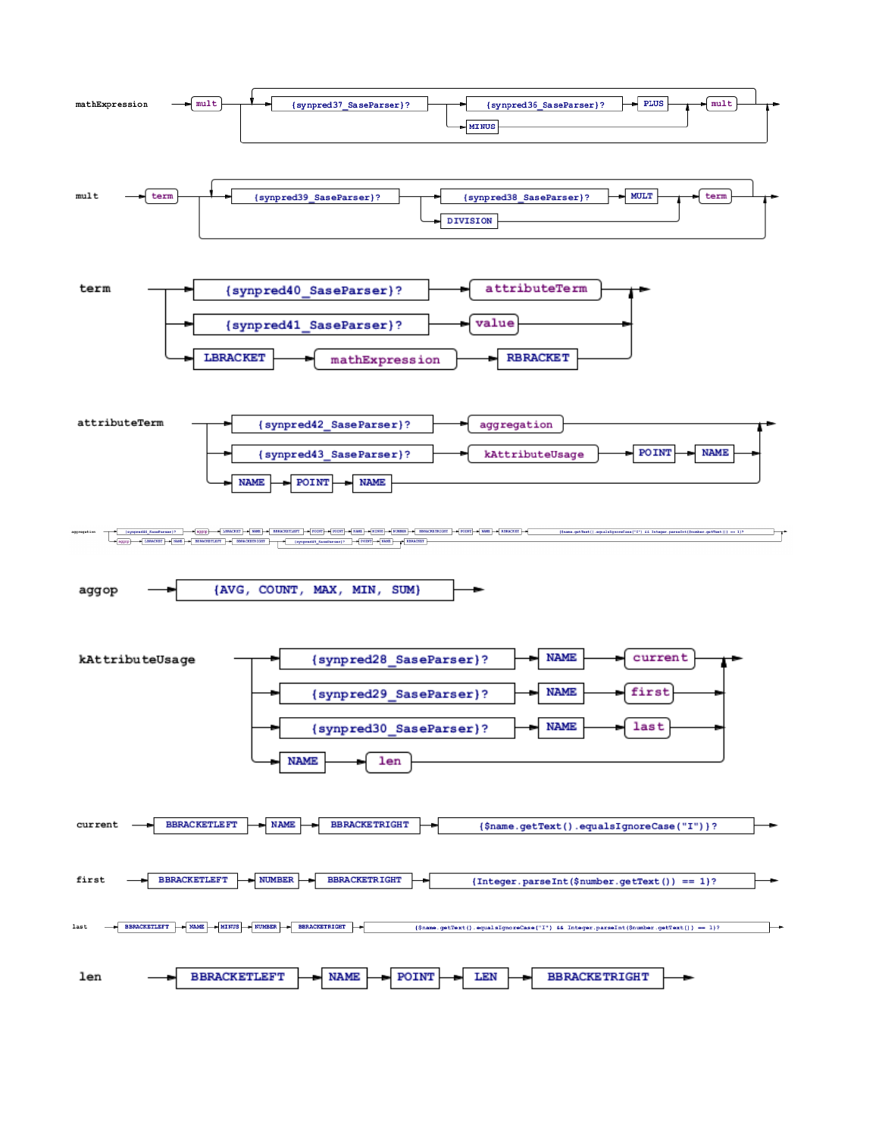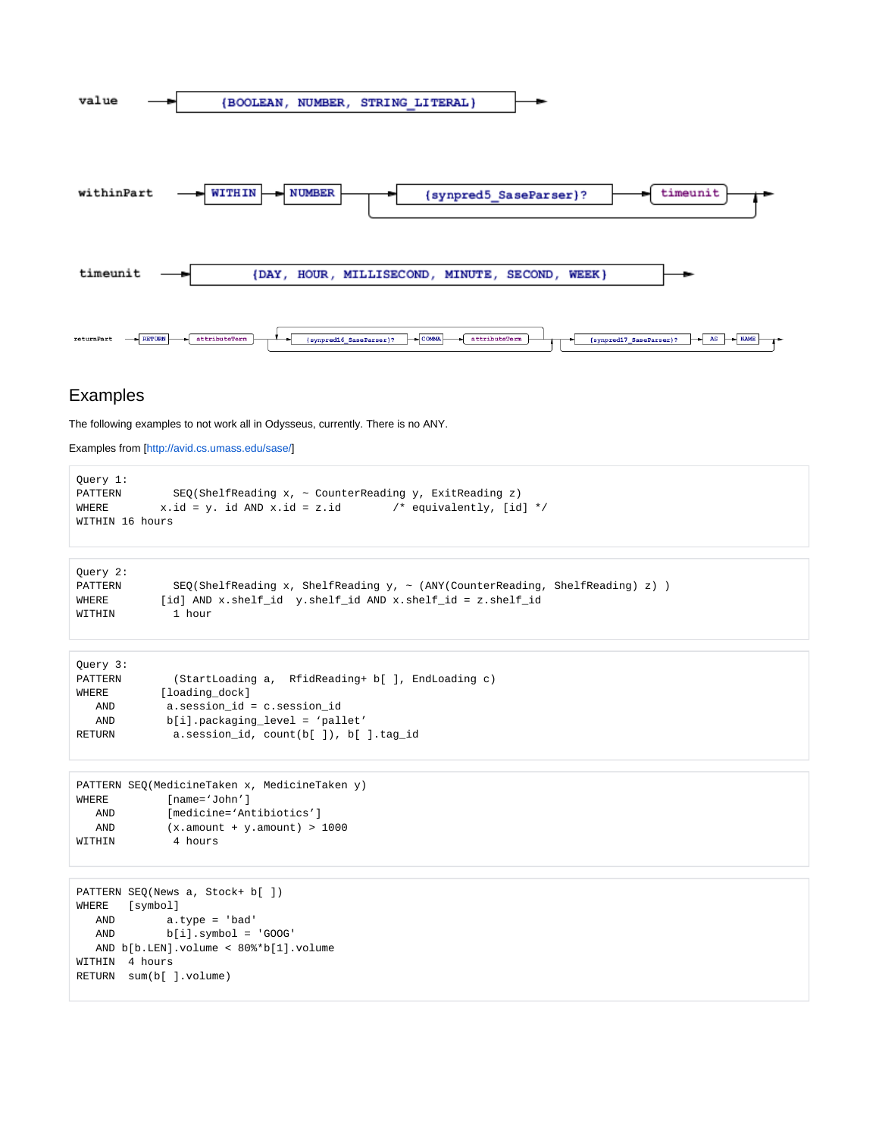

## Examples

The following examples to not work all in Odysseus, currently. There is no ANY.

Examples from [\[http://avid.cs.umass.edu/sase/](http://avid.cs.umass.edu/sase/)]

```
Query 1:
PATTERN SEQ(ShelfReading x, \sim CounterReading y, ExitReading z)
WHERE x.id = y. id AND x.id = z.id /* equivalently, [id] */
WITHIN 16 hours
```

```
Query 2:
PATTERN SEQ(ShelfReading x, ShelfReading y, ~ (ANY(CounterReading, ShelfReading) z) ) 
WHERE [id] AND x.shelf_id y.shelf_id AND x.shelf_id = z.shelf_id
WITHIN 1 hour
```

```
Query 3:
PATTERN (StartLoading a, RfidReading+ b[ ], EndLoading c)
WHERE [loading_dock]
   AND a.session_id = c.session_id
   AND b[i].packaging_level = 'pallet' 
RETURN a.session_id, count(b[ ]), b[ ].tag_id
```

```
PATTERN SEQ(MedicineTaken x, MedicineTaken y)
WHERE [name='John']
   AND [medicine='Antibiotics'] 
   AND (x.amount + y.amount) > 1000 
WITHIN 4 hours
```

```
PATTERN SEQ(News a, Stock+ b[ ])
WHERE [symbol] 
   AND a.type = 'bad' 
   AND b[i].symbol = 'GOOG' 
   AND b[b.LEN].volume < 80%*b[1].volume
WITHIN 4 hours
RETURN sum(b[ ].volume)
```